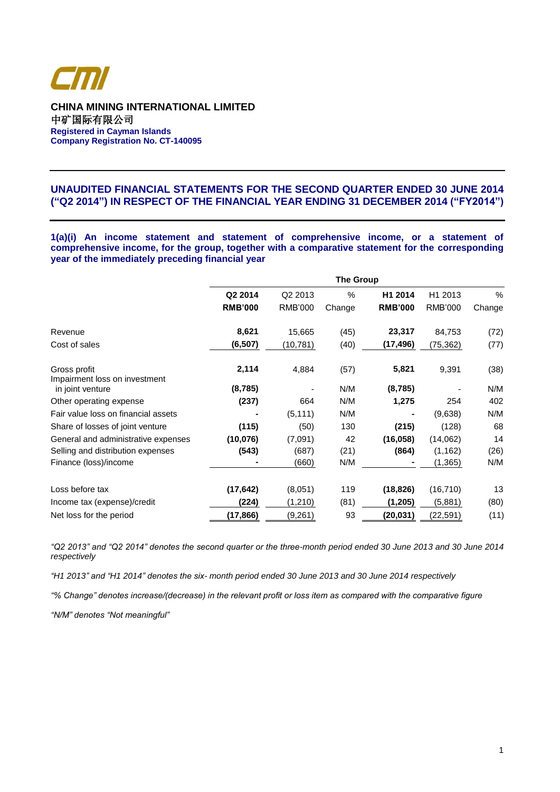

**CHINA MINING INTERNATIONAL LIMITED** 中矿国际有限公司 **Registered in Cayman Islands Company Registration No. CT-140095**

# **UNAUDITED FINANCIAL STATEMENTS FOR THE SECOND QUARTER ENDED 30 JUNE 2014 ("Q2 2014") IN RESPECT OF THE FINANCIAL YEAR ENDING 31 DECEMBER 2014 ("FY2014")**

**1(a)(i) An income statement and statement of comprehensive income, or a statement of comprehensive income, for the group, together with a comparative statement for the corresponding year of the immediately preceding financial year**

|                                               | <b>The Group</b> |                     |        |                |                     |        |  |
|-----------------------------------------------|------------------|---------------------|--------|----------------|---------------------|--------|--|
|                                               | Q2 2014          | Q <sub>2</sub> 2013 | $\%$   | H1 2014        | H <sub>1</sub> 2013 | %      |  |
|                                               | <b>RMB'000</b>   | <b>RMB'000</b>      | Change | <b>RMB'000</b> | <b>RMB'000</b>      | Change |  |
| Revenue                                       | 8,621            | 15,665              | (45)   | 23,317         | 84,753              | (72)   |  |
| Cost of sales                                 | (6, 507)         | (10,781)            | (40)   | (17,496)       | (75, 362)           | (77)   |  |
| Gross profit<br>Impairment loss on investment | 2,114            | 4,884               | (57)   | 5,821          | 9,391               | (38)   |  |
| in joint venture                              | (8, 785)         |                     | N/M    | (8,785)        |                     | N/M    |  |
| Other operating expense                       | (237)            | 664                 | N/M    | 1,275          | 254                 | 402    |  |
| Fair value loss on financial assets           |                  | (5, 111)            | N/M    |                | (9,638)             | N/M    |  |
| Share of losses of joint venture              | (115)            | (50)                | 130    | (215)          | (128)               | 68     |  |
| General and administrative expenses           | (10, 076)        | (7.091)             | 42     | (16, 058)      | (14,062)            | 14     |  |
| Selling and distribution expenses             | (543)            | (687)               | (21)   | (864)          | (1, 162)            | (26)   |  |
| Finance (loss)/income                         |                  | (660)               | N/M    |                | (1, 365)            | N/M    |  |
| Loss before tax                               | (17, 642)        | (8,051)             | 119    | (18, 826)      | (16, 710)           | 13     |  |
| Income tax (expense)/credit                   | (224)            | (1, 210)            | (81)   | (1,205)        | (5,881)             | (80)   |  |
| Net loss for the period                       | (17,866)         | (9,261)             | 93     | (20, 031)      | (22, 591)           | (11)   |  |

*"Q2 2013" and "Q2 2014" denotes the second quarter or the three-month period ended 30 June 2013 and 30 June 2014 respectively*

*"H1 2013" and "H1 2014" denotes the six- month period ended 30 June 2013 and 30 June 2014 respectively*

*"% Change" denotes increase/(decrease) in the relevant profit or loss item as compared with the comparative figure*

*"N/M" denotes "Not meaningful"*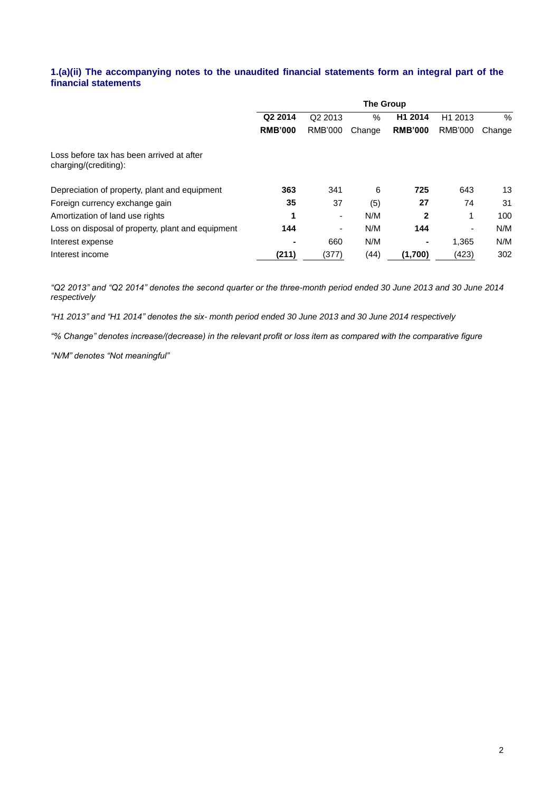# **1.(a)(ii) The accompanying notes to the unaudited financial statements form an integral part of the financial statements**

|                                                                    | <b>The Group</b> |                     |        |                |                          |        |  |  |
|--------------------------------------------------------------------|------------------|---------------------|--------|----------------|--------------------------|--------|--|--|
|                                                                    | Q2 2014          | Q <sub>2</sub> 2013 | $\%$   | H1 2014        | H <sub>1</sub> 2013      | %      |  |  |
|                                                                    | <b>RMB'000</b>   | <b>RMB'000</b>      | Change | <b>RMB'000</b> | <b>RMB'000</b>           | Change |  |  |
| Loss before tax has been arrived at after<br>charging/(crediting): |                  |                     |        |                |                          |        |  |  |
| Depreciation of property, plant and equipment                      | 363              | 341                 | 6      | 725            | 643                      | 13     |  |  |
| Foreign currency exchange gain                                     | 35               | 37                  | (5)    | 27             | 74                       | 31     |  |  |
| Amortization of land use rights                                    | 1                | ۰                   | N/M    | $\mathbf{2}$   | 1                        | 100    |  |  |
| Loss on disposal of property, plant and equipment                  | 144              | ۰                   | N/M    | 144            | $\overline{\phantom{0}}$ | N/M    |  |  |
| Interest expense                                                   |                  | 660                 | N/M    | ۰              | 1,365                    | N/M    |  |  |
| Interest income                                                    | (211)            | (377)               | (44)   | (1,700)        | (423)                    | 302    |  |  |

*"Q2 2013" and "Q2 2014" denotes the second quarter or the three-month period ended 30 June 2013 and 30 June 2014 respectively*

*"H1 2013" and "H1 2014" denotes the six- month period ended 30 June 2013 and 30 June 2014 respectively*

*"% Change" denotes increase/(decrease) in the relevant profit or loss item as compared with the comparative figure*

*"N/M" denotes "Not meaningful"*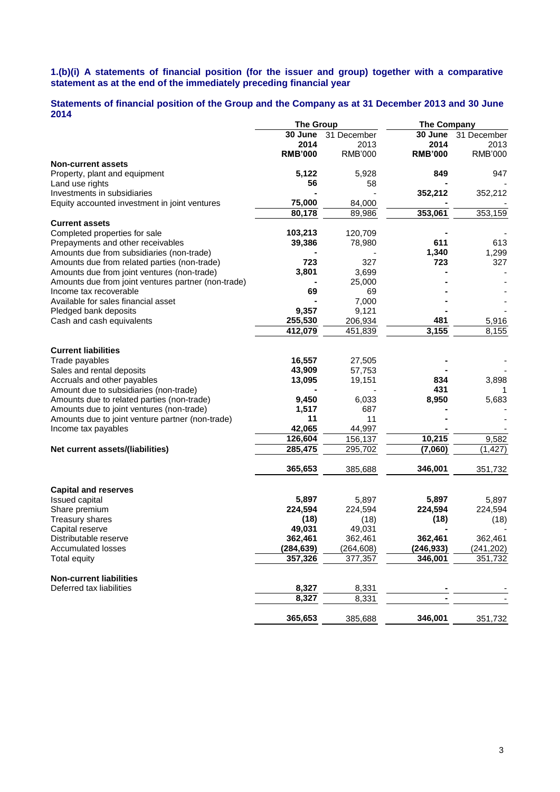## **1.(b)(i) A statements of financial position (for the issuer and group) together with a comparative statement as at the end of the immediately preceding financial year**

# **Statements of financial position of the Group and the Company as at 31 December 2013 and 30 June 2014**

|                                                     | <b>The Group</b> |                | <b>The Company</b> |                |
|-----------------------------------------------------|------------------|----------------|--------------------|----------------|
|                                                     | 30 June          | 31 December    | 30 June            | 31 December    |
|                                                     | 2014             | 2013           | 2014               | 2013           |
|                                                     | <b>RMB'000</b>   | <b>RMB'000</b> | <b>RMB'000</b>     | <b>RMB'000</b> |
| <b>Non-current assets</b>                           |                  |                |                    |                |
| Property, plant and equipment                       | 5,122            | 5,928          | 849                | 947            |
| Land use rights                                     | 56               | 58             |                    |                |
| Investments in subsidiaries                         |                  |                | 352,212            | 352,212        |
| Equity accounted investment in joint ventures       | 75,000           | 84,000         |                    |                |
|                                                     | 80,178           | 89,986         | 353,061            | 353,159        |
| <b>Current assets</b>                               |                  |                |                    |                |
| Completed properties for sale                       | 103,213          | 120,709        |                    |                |
| Prepayments and other receivables                   | 39,386           | 78,980         | 611                | 613            |
| Amounts due from subsidiaries (non-trade)           |                  |                | 1,340              | 1,299          |
| Amounts due from related parties (non-trade)        | 723              | 327            | 723                | 327            |
|                                                     |                  |                |                    |                |
| Amounts due from joint ventures (non-trade)         | 3,801            | 3,699          |                    |                |
| Amounts due from joint ventures partner (non-trade) |                  | 25,000         |                    |                |
| Income tax recoverable                              | 69               | 69             |                    |                |
| Available for sales financial asset                 |                  | 7,000          |                    |                |
| Pledged bank deposits                               | 9,357            | 9,121          |                    |                |
| Cash and cash equivalents                           | 255,530          | 206,934        | 481                | 5,916          |
|                                                     | 412,079          | 451,839        | 3,155              | 8,155          |
|                                                     |                  |                |                    |                |
| <b>Current liabilities</b>                          |                  |                |                    |                |
| Trade payables                                      | 16,557           | 27,505         |                    |                |
| Sales and rental deposits                           | 43,909           | 57,753         |                    |                |
| Accruals and other payables                         | 13,095           | 19,151         | 834                | 3,898          |
| Amount due to subsidiaries (non-trade)              |                  |                | 431                | 1              |
| Amounts due to related parties (non-trade)          | 9,450            | 6,033          | 8,950              | 5,683          |
| Amounts due to joint ventures (non-trade)           | 1,517            | 687            |                    |                |
| Amounts due to joint venture partner (non-trade)    | 11               | 11             |                    |                |
| Income tax payables                                 | 42,065           | 44,997         |                    |                |
|                                                     | 126,604          | 156,137        | 10,215             | 9,582          |
| Net current assets/(liabilities)                    | 285,475          | 295,702        | (7,060)            | (1, 427)       |
|                                                     |                  |                |                    |                |
|                                                     | 365,653          | 385,688        | 346,001            | 351,732        |
| <b>Capital and reserves</b>                         |                  |                |                    |                |
| Issued capital                                      | 5,897            | 5,897          | 5,897              | 5,897          |
| Share premium                                       | 224,594          | 224,594        | 224,594            | 224,594        |
| <b>Treasury shares</b>                              | (18)             | (18)           | (18)               | (18)           |
|                                                     | 49,031           |                |                    |                |
| Capital reserve                                     |                  | 49,031         |                    |                |
| Distributable reserve                               | 362,461          | 362,461        | 362,461            | 362,461        |
| <b>Accumulated losses</b>                           | (284, 639)       | (264, 608)     | (246, 933)         | (241, 202)     |
| <b>Total equity</b>                                 | 357,326          | 377,357        | 346,001            | 351,732        |
| <b>Non-current liabilities</b>                      |                  |                |                    |                |
| Deferred tax liabilities                            | 8,327            | 8,331          |                    |                |
|                                                     | 8,327            | 8,331          |                    |                |
|                                                     | 365,653          | 385,688        | 346,001            | 351,732        |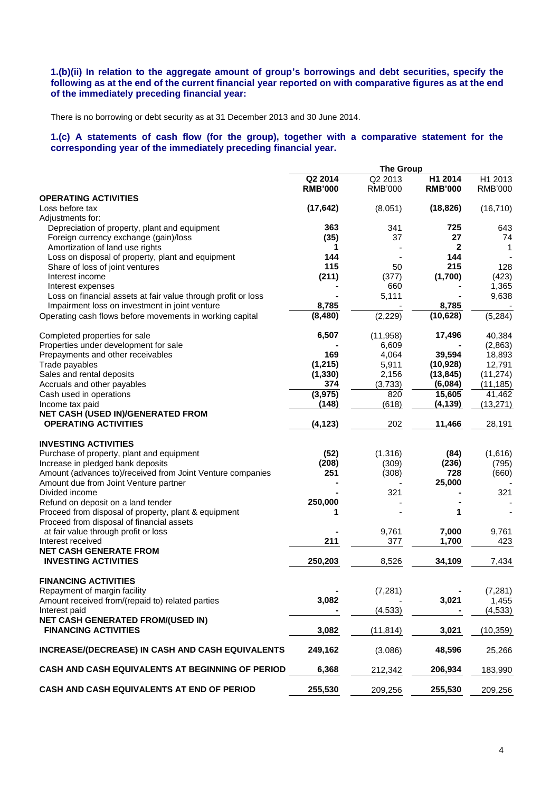# **1.(b)(ii) In relation to the aggregate amount of group's borrowings and debt securities, specify the following as at the end of the current financial year reported on with comparative figures as at the end of the immediately preceding financial year:**

There is no borrowing or debt security as at 31 December 2013 and 30 June 2014.

**1.(c) A statements of cash flow (for the group), together with a comparative statement for the corresponding year of the immediately preceding financial year.**

|                                                                                  |                 | <b>The Group</b> |                      |                        |
|----------------------------------------------------------------------------------|-----------------|------------------|----------------------|------------------------|
|                                                                                  | Q2 2014         | Q2 2013          | H1 2014              | H1 2013                |
| <b>OPERATING ACTIVITIES</b>                                                      | <b>RMB'000</b>  | <b>RMB'000</b>   | <b>RMB'000</b>       | <b>RMB'000</b>         |
| Loss before tax                                                                  | (17, 642)       | (8,051)          | (18, 826)            | (16, 710)              |
| Adjustments for:                                                                 |                 |                  |                      |                        |
| Depreciation of property, plant and equipment                                    | 363             | 341              | 725                  | 643                    |
| Foreign currency exchange (gain)/loss                                            | (35)            | 37               | 27                   | 74                     |
| Amortization of land use rights                                                  | 1               |                  | 2                    | 1                      |
| Loss on disposal of property, plant and equipment                                | 144             |                  | 144                  |                        |
| Share of loss of joint ventures                                                  | 115             | 50               | 215                  | 128                    |
| Interest income                                                                  | (211)           | (377)            | (1,700)              | (423)                  |
| Interest expenses                                                                |                 | 660              |                      | 1,365                  |
| Loss on financial assets at fair value through profit or loss                    |                 | 5,111            |                      | 9,638                  |
| Impairment loss on investment in joint venture                                   | 8,785           |                  | 8,785                |                        |
| Operating cash flows before movements in working capital                         | (8, 480)        | (2, 229)         | (10, 628)            | (5,284)                |
| Completed properties for sale                                                    | 6,507           | (11, 958)        | 17,496               | 40,384                 |
| Properties under development for sale                                            |                 | 6,609            |                      | (2,863)                |
| Prepayments and other receivables                                                | 169             | 4,064            | 39,594               | 18,893                 |
| Trade payables                                                                   | (1, 215)        | 5,911            | (10, 928)            | 12,791                 |
| Sales and rental deposits                                                        | (1, 330)        | 2,156            | (13, 845)<br>(6,084) | (11, 274)<br>(11, 185) |
| Accruals and other payables<br>Cash used in operations                           | 374<br>(3, 975) | (3,733)<br>820   | 15,605               | 41,462                 |
| Income tax paid                                                                  | (148)           | (618)            | (4, 139)             | (13, 271)              |
| NET CASH (USED IN)/GENERATED FROM                                                |                 |                  |                      |                        |
| <b>OPERATING ACTIVITIES</b>                                                      | (4, 123)        | 202              | 11,466               | 28,191                 |
| <b>INVESTING ACTIVITIES</b>                                                      |                 |                  |                      |                        |
| Purchase of property, plant and equipment                                        | (52)            | (1, 316)         | (84)                 | (1,616)                |
| Increase in pledged bank deposits                                                | (208)           | (309)            | (236)                | (795)                  |
| Amount (advances to)/received from Joint Venture companies                       | 251             | (308)            | 728                  | (660)                  |
| Amount due from Joint Venture partner                                            |                 |                  | 25,000               |                        |
| Divided income                                                                   |                 | 321              |                      | 321                    |
| Refund on deposit on a land tender                                               | 250,000         |                  |                      |                        |
| Proceed from disposal of property, plant & equipment                             | 1               |                  | 1                    |                        |
| Proceed from disposal of financial assets                                        |                 |                  |                      |                        |
| at fair value through profit or loss                                             |                 | 9,761            | 7,000                | 9,761                  |
| Interest received<br><b>NET CASH GENERATE FROM</b>                               | 211             | 377              | 1,700                | 423                    |
| <b>INVESTING ACTIVITIES</b>                                                      | 250,203         | 8,526            | 34,109               | 7,434                  |
|                                                                                  |                 |                  |                      |                        |
| <b>FINANCING ACTIVITIES</b>                                                      |                 |                  |                      |                        |
| Repayment of margin facility<br>Amount received from/(repaid to) related parties | 3,082           | (7, 281)         | 3,021                | (7, 281)               |
| Interest paid                                                                    |                 | (4, 533)         |                      | 1,455<br>(4, 533)      |
| NET CASH GENERATED FROM/(USED IN)                                                |                 |                  |                      |                        |
| <b>FINANCING ACTIVITIES</b>                                                      | 3,082           | (11, 814)        | 3,021                | (10, 359)              |
| INCREASE/(DECREASE) IN CASH AND CASH EQUIVALENTS                                 | 249,162         | (3,086)          | 48,596               | 25,266                 |
|                                                                                  |                 |                  |                      |                        |
| CASH AND CASH EQUIVALENTS AT BEGINNING OF PERIOD                                 | 6,368           | 212,342          | 206,934              | 183,990                |
| CASH AND CASH EQUIVALENTS AT END OF PERIOD                                       | 255,530         | 209,256          | 255,530              | 209,256                |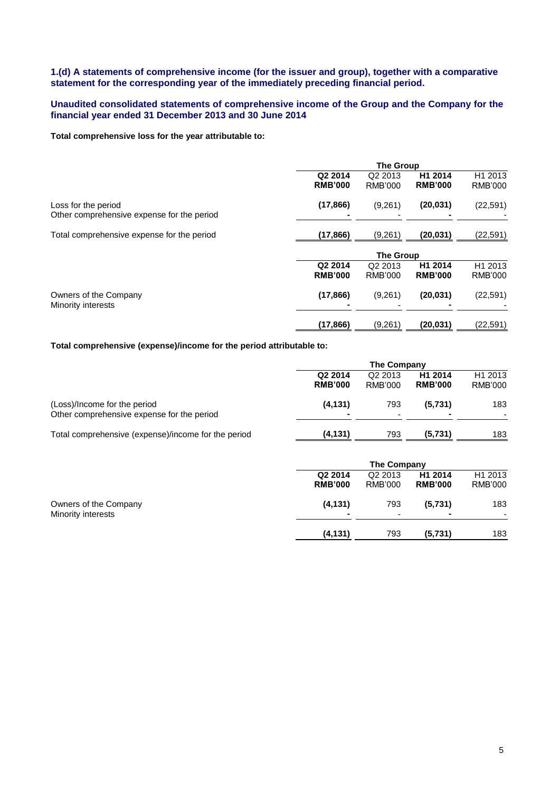# **1.(d) A statements of comprehensive income (for the issuer and group), together with a comparative statement for the corresponding year of the immediately preceding financial period.**

# **Unaudited consolidated statements of comprehensive income of the Group and the Company for the financial year ended 31 December 2013 and 30 June 2014**

# **Total comprehensive loss for the year attributable to:**

|                                             |                | <b>The Group</b>    |                |                     |  |  |  |
|---------------------------------------------|----------------|---------------------|----------------|---------------------|--|--|--|
|                                             | Q2 2014        | Q <sub>2</sub> 2013 | H1 2014        | H1 2013             |  |  |  |
|                                             | <b>RMB'000</b> | <b>RMB'000</b>      | <b>RMB'000</b> | <b>RMB'000</b>      |  |  |  |
| Loss for the period                         | (17, 866)      | (9,261)             | (20, 031)      | (22, 591)           |  |  |  |
| Other comprehensive expense for the period  |                |                     |                |                     |  |  |  |
| Total comprehensive expense for the period  | (17, 866)      | (9,261)             | (20,031)       | (22, 591)           |  |  |  |
|                                             |                | <b>The Group</b>    |                |                     |  |  |  |
|                                             | Q2 2014        | Q <sub>2</sub> 2013 | H1 2014        | H <sub>1</sub> 2013 |  |  |  |
|                                             | <b>RMB'000</b> | RMB'000             | <b>RMB'000</b> | RMB'000             |  |  |  |
| Owners of the Company<br>Minority interests | (17, 866)      | (9,261)             | (20, 031)      | (22, 591)           |  |  |  |
|                                             |                |                     |                |                     |  |  |  |
|                                             | (17, 866)      | (9,261)             | (20, 031)      | (22, 591)           |  |  |  |

# **Total comprehensive (expense)/income for the period attributable to:**

|                                                     | The Company    |                     |                     |                          |  |  |
|-----------------------------------------------------|----------------|---------------------|---------------------|--------------------------|--|--|
|                                                     | Q2 2014        | Q <sub>2</sub> 2013 | H <sub>1</sub> 2014 | H <sub>1</sub> 2013      |  |  |
|                                                     | <b>RMB'000</b> | RMB'000             | <b>RMB'000</b>      | RMB'000                  |  |  |
| (Loss)/Income for the period                        | (4, 131)       | 793                 | (5.731)             | 183                      |  |  |
| Other comprehensive expense for the period          |                |                     |                     | $\overline{\phantom{a}}$ |  |  |
| Total comprehensive (expense)/income for the period | (4, 131)       | 793                 | (5,731)             | 183                      |  |  |

|                       |                | The Company         |                |                     |
|-----------------------|----------------|---------------------|----------------|---------------------|
|                       | Q2 2014        | Q <sub>2</sub> 2013 | H1 2014        | H <sub>1</sub> 2013 |
|                       | <b>RMB'000</b> | <b>RMB'000</b>      | <b>RMB'000</b> | RMB'000             |
| Owners of the Company | (4, 131)       | 793                 | (5,731)        | 183                 |
| Minority interests    |                | -                   |                | $\sim$              |
|                       | (4, 131)       | 793                 | (5,731)        | 183                 |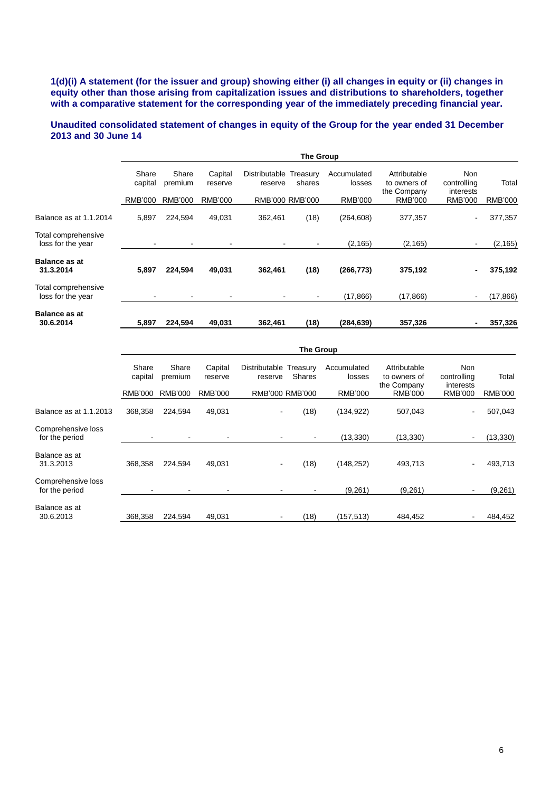# **1(d)(i) A statement (for the issuer and group) showing either (i) all changes in equity or (ii) changes in equity other than those arising from capitalization issues and distributions to shareholders, together with a comparative statement for the corresponding year of the immediately preceding financial year.**

# **Unaudited consolidated statement of changes in equity of the Group for the year ended 31 December 2013 and 30 June 14**

|                                          |                  |                  |                    |                          | The Group          |                       |                                             |                                        |                |
|------------------------------------------|------------------|------------------|--------------------|--------------------------|--------------------|-----------------------|---------------------------------------------|----------------------------------------|----------------|
|                                          | Share<br>capital | Share<br>premium | Capital<br>reserve | Distributable<br>reserve | Treasury<br>shares | Accumulated<br>losses | Attributable<br>to owners of<br>the Company | <b>Non</b><br>controlling<br>interests | Total          |
|                                          | RMB'000          | <b>RMB'000</b>   | RMB'000            | RMB'000 RMB'000          |                    | <b>RMB'000</b>        | <b>RMB'000</b>                              | <b>RMB'000</b>                         | <b>RMB'000</b> |
| Balance as at 1.1.2014                   | 5,897            | 224,594          | 49,031             | 362,461                  | (18)               | (264, 608)            | 377,357                                     | $\sim$                                 | 377,357        |
| Total comprehensive<br>loss for the year |                  |                  |                    |                          |                    | (2, 165)              | (2, 165)                                    | $\blacksquare$                         | (2, 165)       |
| <b>Balance as at</b><br>31.3.2014        | 5,897            | 224.594          | 49,031             | 362,461                  | (18)               | (266, 773)            | 375,192                                     | $\blacksquare$                         | 375,192        |
| Total comprehensive<br>loss for the year |                  | ۰                | ۰                  |                          | ٠                  | (17, 866)             | (17, 866)                                   | $\blacksquare$                         | (17, 866)      |
| <b>Balance as at</b><br>30.6.2014        | 5,897            | 224,594          | 49,031             | 362,461                  | (18)               | (284, 639)            | 357,326                                     | $\blacksquare$                         | 357,326        |
|                                          |                  |                  |                    |                          |                    |                       |                                             |                                        |                |

|                                      |                  | <b>The Group</b> |                    |                                   |               |                       |                                             |                                 |          |
|--------------------------------------|------------------|------------------|--------------------|-----------------------------------|---------------|-----------------------|---------------------------------------------|---------------------------------|----------|
|                                      | Share<br>capital | Share<br>premium | Capital<br>reserve | Distributable Treasury<br>reserve | <b>Shares</b> | Accumulated<br>losses | Attributable<br>to owners of<br>the Company | Non<br>controlling<br>interests | Total    |
|                                      | <b>RMB'000</b>   | RMB'000          | RMB'000            | RMB'000 RMB'000                   |               | <b>RMB'000</b>        | <b>RMB'000</b>                              | <b>RMB'000</b>                  | RMB'000  |
| Balance as at 1.1.2013               | 368,358          | 224.594          | 49,031             | $\blacksquare$                    | (18)          | (134, 922)            | 507,043                                     | $\blacksquare$                  | 507,043  |
| Comprehensive loss<br>for the period |                  |                  |                    |                                   |               | (13, 330)             | (13, 330)                                   |                                 | (13,330) |
| Balance as at<br>31.3.2013           | 368,358          | 224.594          | 49,031             | $\blacksquare$                    | (18)          | (148, 252)            | 493,713                                     | ä,                              | 493,713  |
| Comprehensive loss<br>for the period | ۰                |                  |                    |                                   |               | (9,261)               | (9,261)                                     | $\overline{\phantom{a}}$        | (9,261)  |
| Balance as at<br>30.6.2013           | 368,358          | 224,594          | 49,031             | $\overline{\phantom{a}}$          | (18)          | (157, 513)            | 484,452                                     |                                 | 484,452  |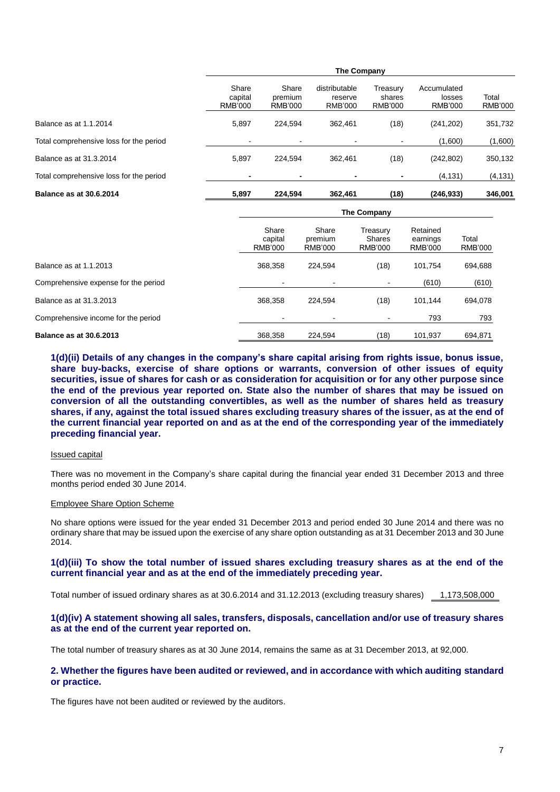|                                         | <b>The Company</b>                 |                                    |                                            |                                      |                                         |                  |  |
|-----------------------------------------|------------------------------------|------------------------------------|--------------------------------------------|--------------------------------------|-----------------------------------------|------------------|--|
|                                         | Share<br>capital<br><b>RMB'000</b> | Share<br>premium<br><b>RMB'000</b> | distributable<br>reserve<br><b>RMB'000</b> | Treasurv<br>shares<br><b>RMB'000</b> | Accumulated<br>losses<br><b>RMB'000</b> | Total<br>RMB'000 |  |
| Balance as at 1.1.2014                  | 5.897                              | 224.594                            | 362.461                                    | (18)                                 | (241, 202)                              | 351,732          |  |
| Total comprehensive loss for the period | $\blacksquare$                     | $\blacksquare$                     |                                            |                                      | (1,600)                                 | (1,600)          |  |
| Balance as at 31.3.2014                 | 5.897                              | 224.594                            | 362.461                                    | (18)                                 | (242, 802)                              | 350,132          |  |
| Total comprehensive loss for the period |                                    |                                    |                                            |                                      | (4, 131)                                | (4, 131)         |  |
| <b>Balance as at 30.6.2014</b>          | 5,897                              | 224,594                            | 362,461                                    | (18)                                 | (246,933)                               | 346,001          |  |

|                                      | The Company                        |                                    |                                      |                                        |                         |  |  |
|--------------------------------------|------------------------------------|------------------------------------|--------------------------------------|----------------------------------------|-------------------------|--|--|
|                                      | Share<br>capital<br><b>RMB'000</b> | Share<br>premium<br><b>RMB'000</b> | Treasury<br>Shares<br><b>RMB'000</b> | Retained<br>earnings<br><b>RMB'000</b> | Total<br><b>RMB'000</b> |  |  |
| Balance as at 1.1.2013               | 368.358                            | 224.594                            | (18)                                 | 101.754                                | 694,688                 |  |  |
| Comprehensive expense for the period | $\blacksquare$                     | $\blacksquare$                     |                                      | (610)                                  | (610)                   |  |  |
| Balance as at 31.3.2013              | 368.358                            | 224.594                            | (18)                                 | 101.144                                | 694,078                 |  |  |
| Comprehensive income for the period  |                                    | $\blacksquare$                     |                                      | 793                                    | 793                     |  |  |
| <b>Balance as at 30.6.2013</b>       | 368.358                            | 224.594                            | (18)                                 | 101.937                                | 694.871                 |  |  |

**1(d)(ii) Details of any changes in the company's share capital arising from rights issue, bonus issue, share buy-backs, exercise of share options or warrants, conversion of other issues of equity securities, issue of shares for cash or as consideration for acquisition or for any other purpose since the end of the previous year reported on. State also the number of shares that may be issued on conversion of all the outstanding convertibles, as well as the number of shares held as treasury shares, if any, against the total issued shares excluding treasury shares of the issuer, as at the end of the current financial year reported on and as at the end of the corresponding year of the immediately preceding financial year.**

#### Issued capital

There was no movement in the Company's share capital during the financial year ended 31 December 2013 and three months period ended 30 June 2014.

#### Employee Share Option Scheme

No share options were issued for the year ended 31 December 2013 and period ended 30 June 2014 and there was no ordinary share that may be issued upon the exercise of any share option outstanding as at 31 December 2013 and 30 June 2014.

## **1(d)(iii) To show the total number of issued shares excluding treasury shares as at the end of the current financial year and as at the end of the immediately preceding year.**

Total number of issued ordinary shares as at 30.6.2014 and 31.12.2013 (excluding treasury shares) 1,173,508,000

## **1(d)(iv) A statement showing all sales, transfers, disposals, cancellation and/or use of treasury shares as at the end of the current year reported on.**

The total number of treasury shares as at 30 June 2014, remains the same as at 31 December 2013, at 92,000.

### **2. Whether the figures have been audited or reviewed, and in accordance with which auditing standard or practice.**

The figures have not been audited or reviewed by the auditors.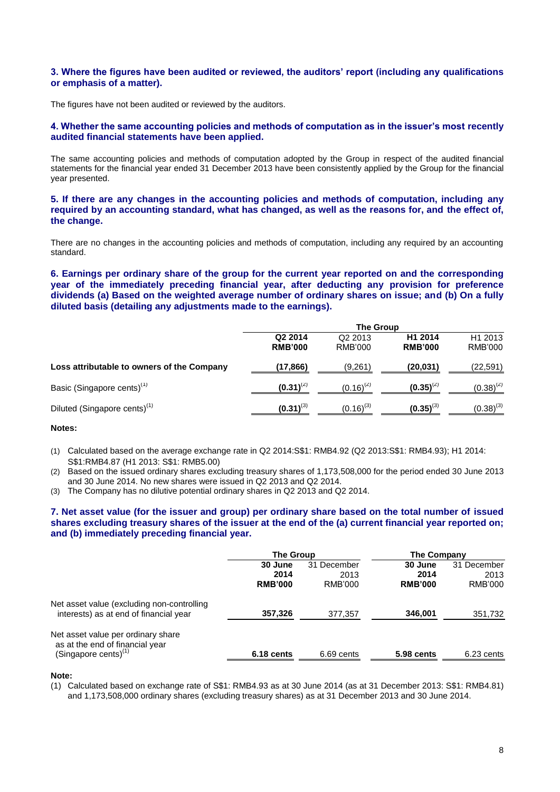# **3. Where the figures have been audited or reviewed, the auditors' report (including any qualifications or emphasis of a matter).**

The figures have not been audited or reviewed by the auditors.

# **4. Whether the same accounting policies and methods of computation as in the issuer's most recently audited financial statements have been applied.**

The same accounting policies and methods of computation adopted by the Group in respect of the audited financial statements for the financial year ended 31 December 2013 have been consistently applied by the Group for the financial year presented.

**5. If there are any changes in the accounting policies and methods of computation, including any required by an accounting standard, what has changed, as well as the reasons for, and the effect of, the change.**

There are no changes in the accounting policies and methods of computation, including any required by an accounting standard.

**6. Earnings per ordinary share of the group for the current year reported on and the corresponding year of the immediately preceding financial year, after deducting any provision for preference dividends (a) Based on the weighted average number of ordinary shares on issue; and (b) On a fully diluted basis (detailing any adjustments made to the earnings).** 

|                                            | <b>The Group</b>          |                                |                           |                                       |  |  |
|--------------------------------------------|---------------------------|--------------------------------|---------------------------|---------------------------------------|--|--|
|                                            | Q2 2014<br><b>RMB'000</b> | Q <sub>2</sub> 2013<br>RMB'000 | H1 2014<br><b>RMB'000</b> | H <sub>1</sub> 2013<br><b>RMB'000</b> |  |  |
| Loss attributable to owners of the Company | (17,866)                  | (9,261)                        | (20.031)                  | (22, 591)                             |  |  |
| Basic (Singapore cents) <sup>(1)</sup>     | $(0.31)^{(2)}$            | $(0.16)^{(2)}$                 | $(0.35)^{(2)}$            | $(0.38)^{(2)}$                        |  |  |
| Diluted (Singapore cents) <sup>(1)</sup>   | $(0.31)^{(3)}$            | $(0.16)^{(3)}$                 | $(0.35)^{(3)}$            | $(0.38)^{(3)}$                        |  |  |

**Notes:**

- (1) Calculated based on the average exchange rate in Q2 2014:S\$1: RMB4.92 (Q2 2013:S\$1: RMB4.93); H1 2014: S\$1:RMB4.87 (H1 2013: S\$1: RMB5.00)
- (2) Based on the issued ordinary shares excluding treasury shares of 1,173,508,000 for the period ended 30 June 2013 and 30 June 2014. No new shares were issued in Q2 2013 and Q2 2014.
- (3) The Company has no dilutive potential ordinary shares in Q2 2013 and Q2 2014.

# **7. Net asset value (for the issuer and group) per ordinary share based on the total number of issued shares excluding treasury shares of the issuer at the end of the (a) current financial year reported on; and (b) immediately preceding financial year.**

|                                                                                                  | <b>The Group</b> |             | The Company    |             |
|--------------------------------------------------------------------------------------------------|------------------|-------------|----------------|-------------|
|                                                                                                  | 30 June          | 31 December | 30 June        | 31 December |
|                                                                                                  | 2014             | 2013        | 2014           | 2013        |
|                                                                                                  | <b>RMB'000</b>   | RMB'000     | <b>RMB'000</b> | RMB'000     |
| Net asset value (excluding non-controlling<br>interests) as at end of financial year             | 357,326          | 377,357     | 346,001        | 351,732     |
| Net asset value per ordinary share<br>as at the end of financial year<br>(Singapore cents) $(1)$ | 6.18 cents       | 6.69 cents  | 5.98 cents     |             |
|                                                                                                  |                  |             |                | 6.23 cents  |

**Note:**

(1) Calculated based on exchange rate of S\$1: RMB4.93 as at 30 June 2014 (as at 31 December 2013: S\$1: RMB4.81) and 1,173,508,000 ordinary shares (excluding treasury shares) as at 31 December 2013 and 30 June 2014.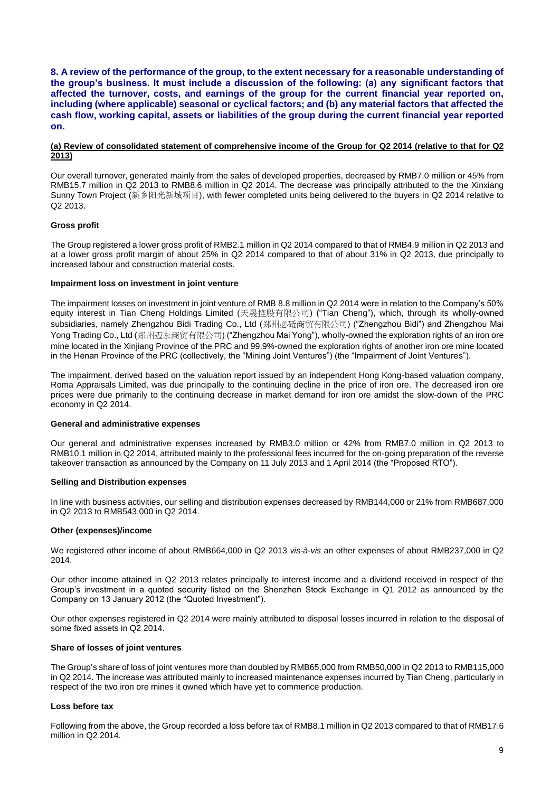**8. A review of the performance of the group, to the extent necessary for a reasonable understanding of the group's business. It must include a discussion of the following: (a) any significant factors that affected the turnover, costs, and earnings of the group for the current financial year reported on, including (where applicable) seasonal or cyclical factors; and (b) any material factors that affected the cash flow, working capital, assets or liabilities of the group during the current financial year reported on.**

### **(a) Review of consolidated statement of comprehensive income of the Group for Q2 2014 (relative to that for Q2 2013)**

Our overall turnover, generated mainly from the sales of developed properties, decreased by RMB7.0 million or 45% from RMB15.7 million in Q2 2013 to RMB8.6 million in Q2 2014. The decrease was principally attributed to the the Xinxiang Sunny Town Project (新乡阳光新城项目), with fewer completed units being delivered to the buyers in Q2 2014 relative to Q2 2013.

## **Gross profit**

The Group registered a lower gross profit of RMB2.1 million in Q2 2014 compared to that of RMB4.9 million in Q2 2013 and at a lower gross profit margin of about 25% in Q2 2014 compared to that of about 31% in Q2 2013, due principally to increased labour and construction material costs.

# **Impairment loss on investment in joint venture**

The impairment losses on investment in joint venture of RMB 8.8 million in Q2 2014 were in relation to the Company's 50% equity interest in Tian Cheng Holdings Limited (天晟控股有限公司) ("Tian Cheng"), which, through its wholly-owned subsidiaries, namely Zhengzhou Bidi Trading Co., Ltd (郑州必砥商贸有限公司) ("Zhengzhou Bidi") and Zhengzhou Mai Yong Trading Co., Ltd (郑州迈永商贸有限公司) ("Zhengzhou Mai Yong"), wholly-owned the exploration rights of an iron ore mine located in the Xinjiang Province of the PRC and 99.9%-owned the exploration rights of another iron ore mine located in the Henan Province of the PRC (collectively, the "Mining Joint Ventures") (the "Impairment of Joint Ventures").

The impairment, derived based on the valuation report issued by an independent Hong Kong-based valuation company, Roma Appraisals Limited, was due principally to the continuing decline in the price of iron ore. The decreased iron ore prices were due primarily to the continuing decrease in market demand for iron ore amidst the slow-down of the PRC economy in Q2 2014.

# **General and administrative expenses**

Our general and administrative expenses increased by RMB3.0 million or 42% from RMB7.0 million in Q2 2013 to RMB10.1 million in Q2 2014, attributed mainly to the professional fees incurred for the on-going preparation of the reverse takeover transaction as announced by the Company on 11 July 2013 and 1 April 2014 (the "Proposed RTO").

### **Selling and Distribution expenses**

In line with business activities, our selling and distribution expenses decreased by RMB144,000 or 21% from RMB687,000 in Q2 2013 to RMB543,000 in Q2 2014.

# **Other (expenses)/income**

We registered other income of about RMB664,000 in Q2 2013 *vis-à-vis* an other expenses of about RMB237,000 in Q2 2014.

Our other income attained in Q2 2013 relates principally to interest income and a dividend received in respect of the Group's investment in a quoted security listed on the Shenzhen Stock Exchange in Q1 2012 as announced by the Company on 13 January 2012 (the "Quoted Investment").

Our other expenses registered in Q2 2014 were mainly attributed to disposal losses incurred in relation to the disposal of some fixed assets in Q2 2014.

#### **Share of losses of joint ventures**

The Group's share of loss of joint ventures more than doubled by RMB65,000 from RMB50,000 in Q2 2013 to RMB115,000 in Q2 2014. The increase was attributed mainly to increased maintenance expenses incurred by Tian Cheng, particularly in respect of the two iron ore mines it owned which have yet to commence production.

#### **Loss before tax**

Following from the above, the Group recorded a loss before tax of RMB8.1 million in Q2 2013 compared to that of RMB17.6 million in Q2 2014.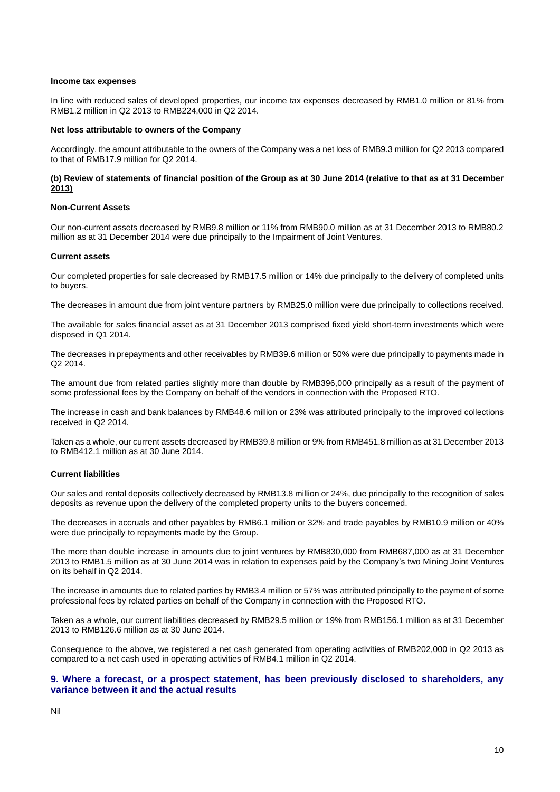#### **Income tax expenses**

In line with reduced sales of developed properties, our income tax expenses decreased by RMB1.0 million or 81% from RMB1.2 million in Q2 2013 to RMB224,000 in Q2 2014.

### **Net loss attributable to owners of the Company**

Accordingly, the amount attributable to the owners of the Company was a net loss of RMB9.3 million for Q2 2013 compared to that of RMB17.9 million for Q2 2014.

## **(b) Review of statements of financial position of the Group as at 30 June 2014 (relative to that as at 31 December 2013)**

## **Non-Current Assets**

Our non-current assets decreased by RMB9.8 million or 11% from RMB90.0 million as at 31 December 2013 to RMB80.2 million as at 31 December 2014 were due principally to the Impairment of Joint Ventures.

### **Current assets**

Our completed properties for sale decreased by RMB17.5 million or 14% due principally to the delivery of completed units to buyers.

The decreases in amount due from joint venture partners by RMB25.0 million were due principally to collections received.

The available for sales financial asset as at 31 December 2013 comprised fixed yield short-term investments which were disposed in Q1 2014.

The decreases in prepayments and other receivables by RMB39.6 million or 50% were due principally to payments made in Q2 2014.

The amount due from related parties slightly more than double by RMB396,000 principally as a result of the payment of some professional fees by the Company on behalf of the vendors in connection with the Proposed RTO.

The increase in cash and bank balances by RMB48.6 million or 23% was attributed principally to the improved collections received in Q2 2014.

Taken as a whole, our current assets decreased by RMB39.8 million or 9% from RMB451.8 million as at 31 December 2013 to RMB412.1 million as at 30 June 2014.

### **Current liabilities**

Our sales and rental deposits collectively decreased by RMB13.8 million or 24%, due principally to the recognition of sales deposits as revenue upon the delivery of the completed property units to the buyers concerned.

The decreases in accruals and other payables by RMB6.1 million or 32% and trade payables by RMB10.9 million or 40% were due principally to repayments made by the Group.

The more than double increase in amounts due to joint ventures by RMB830,000 from RMB687,000 as at 31 December 2013 to RMB1.5 million as at 30 June 2014 was in relation to expenses paid by the Company's two Mining Joint Ventures on its behalf in Q2 2014.

The increase in amounts due to related parties by RMB3.4 million or 57% was attributed principally to the payment of some professional fees by related parties on behalf of the Company in connection with the Proposed RTO.

Taken as a whole, our current liabilities decreased by RMB29.5 million or 19% from RMB156.1 million as at 31 December 2013 to RMB126.6 million as at 30 June 2014.

Consequence to the above, we registered a net cash generated from operating activities of RMB202,000 in Q2 2013 as compared to a net cash used in operating activities of RMB4.1 million in Q2 2014.

# **9. Where a forecast, or a prospect statement, has been previously disclosed to shareholders, any variance between it and the actual results**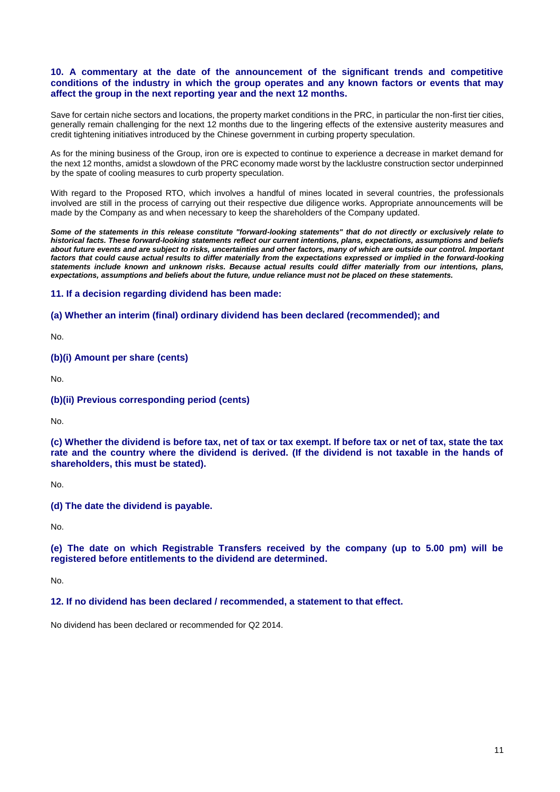# **10. A commentary at the date of the announcement of the significant trends and competitive conditions of the industry in which the group operates and any known factors or events that may affect the group in the next reporting year and the next 12 months.**

Save for certain niche sectors and locations, the property market conditions in the PRC, in particular the non-first tier cities, generally remain challenging for the next 12 months due to the lingering effects of the extensive austerity measures and credit tightening initiatives introduced by the Chinese government in curbing property speculation.

As for the mining business of the Group, iron ore is expected to continue to experience a decrease in market demand for the next 12 months, amidst a slowdown of the PRC economy made worst by the lacklustre construction sector underpinned by the spate of cooling measures to curb property speculation.

With regard to the Proposed RTO, which involves a handful of mines located in several countries, the professionals involved are still in the process of carrying out their respective due diligence works. Appropriate announcements will be made by the Company as and when necessary to keep the shareholders of the Company updated.

*Some of the statements in this release constitute "forward-looking statements" that do not directly or exclusively relate to historical facts. These forward-looking statements reflect our current intentions, plans, expectations, assumptions and beliefs about future events and are subject to risks, uncertainties and other factors, many of which are outside our control. Important factors that could cause actual results to differ materially from the expectations expressed or implied in the forward-looking statements include known and unknown risks. Because actual results could differ materially from our intentions, plans, expectations, assumptions and beliefs about the future, undue reliance must not be placed on these statements.*

# **11. If a decision regarding dividend has been made:**

# **(a) Whether an interim (final) ordinary dividend has been declared (recommended); and**

No.

# **(b)(i) Amount per share (cents)**

No.

# **(b)(ii) Previous corresponding period (cents)**

No.

**(c) Whether the dividend is before tax, net of tax or tax exempt. If before tax or net of tax, state the tax rate and the country where the dividend is derived. (If the dividend is not taxable in the hands of shareholders, this must be stated).** 

No.

**(d) The date the dividend is payable.** 

No.

**(e) The date on which Registrable Transfers received by the company (up to 5.00 pm) will be registered before entitlements to the dividend are determined.** 

No.

# **12. If no dividend has been declared / recommended, a statement to that effect.**

No dividend has been declared or recommended for Q2 2014.